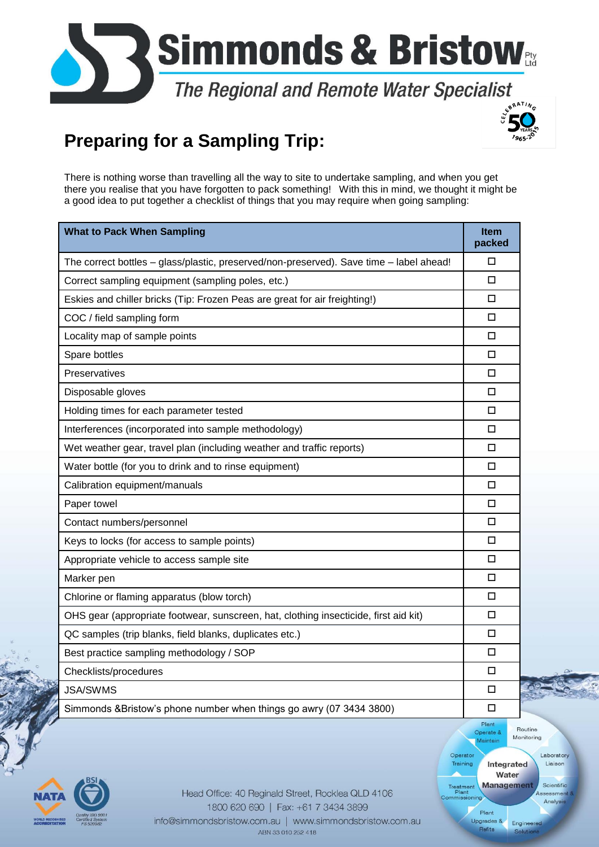

## **Preparing for a Sampling Trip:**



There is nothing worse than travelling all the way to site to undertake sampling, and when you get there you realise that you have forgotten to pack something! With this in mind, we thought it might be a good idea to put together a checklist of things that you may require when going sampling:

| <b>What to Pack When Sampling</b>                                                       | <b>Item</b><br>packed |  |
|-----------------------------------------------------------------------------------------|-----------------------|--|
| The correct bottles - glass/plastic, preserved/non-preserved). Save time - label ahead! | □                     |  |
| Correct sampling equipment (sampling poles, etc.)                                       |                       |  |
| Eskies and chiller bricks (Tip: Frozen Peas are great for air freighting!)              | $\Box$                |  |
| COC / field sampling form                                                               | $\Box$                |  |
| Locality map of sample points                                                           | $\Box$                |  |
| Spare bottles                                                                           | $\Box$                |  |
| Preservatives                                                                           | $\Box$                |  |
| Disposable gloves                                                                       | $\Box$                |  |
| Holding times for each parameter tested                                                 | $\Box$                |  |
| Interferences (incorporated into sample methodology)                                    | $\Box$                |  |
| Wet weather gear, travel plan (including weather and traffic reports)                   | $\Box$                |  |
| Water bottle (for you to drink and to rinse equipment)                                  | $\Box$                |  |
| Calibration equipment/manuals                                                           | 0                     |  |
| Paper towel                                                                             | $\Box$                |  |
| Contact numbers/personnel                                                               | $\Box$                |  |
| Keys to locks (for access to sample points)                                             | $\Box$                |  |
| Appropriate vehicle to access sample site                                               |                       |  |
| Marker pen                                                                              |                       |  |
| Chlorine or flaming apparatus (blow torch)                                              | $\Box$                |  |
| OHS gear (appropriate footwear, sunscreen, hat, clothing insecticide, first aid kit)    | $\Box$                |  |
| QC samples (trip blanks, field blanks, duplicates etc.)                                 | $\Box$                |  |
| Best practice sampling methodology / SOP                                                | $\Box$                |  |
| Checklists/procedures                                                                   | $\Box$                |  |
| <b>JSA/SWMS</b>                                                                         | $\Box$<br>$\delta$    |  |
| Simmonds & Bristow's phone number when things go awry (07 3434 3800)                    | □                     |  |



Head Office: 40 Reginald Street, Rocklea QLD 4106 1800 620 690 | Fax: +61 7 3434 3899 info@simmondsbristow.com.au | www.simmondsbristow.com.au ABN 33 010 252 418

Routine Operate Monitoring Maintair Operator Laborator Training Integrated Liaison Water **Management** Treatment<br>Plant<br>pmmission Scientifi Analy Upgrades & Engineere Refits

Plant